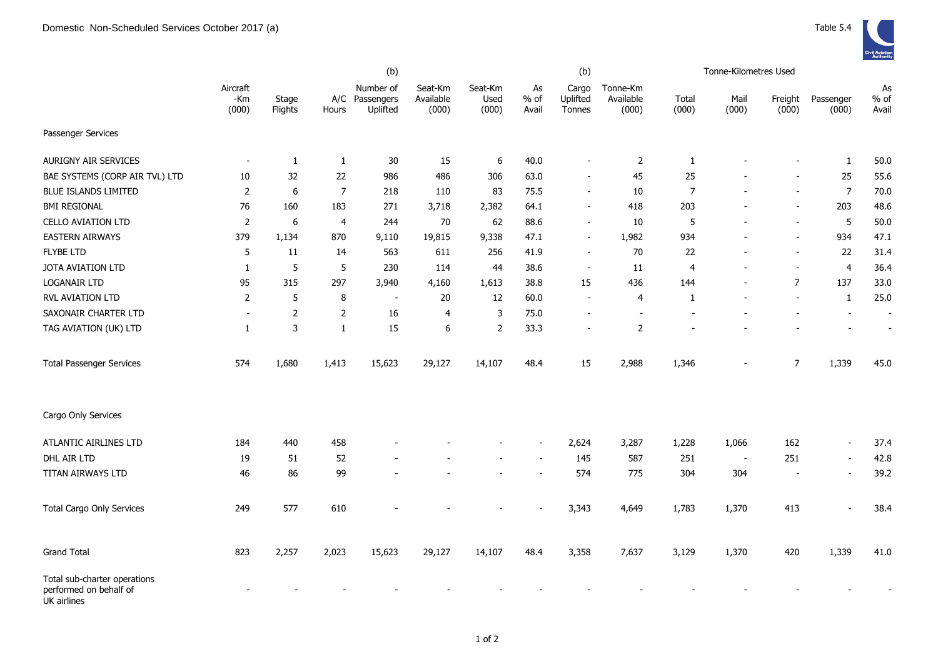|                                                                       |                          |                  |                  | (b)                                     |                               |                          |                       | (b)                         |                                | Tonne-Kilometres Used |               |                          |                          |                       |
|-----------------------------------------------------------------------|--------------------------|------------------|------------------|-----------------------------------------|-------------------------------|--------------------------|-----------------------|-----------------------------|--------------------------------|-----------------------|---------------|--------------------------|--------------------------|-----------------------|
|                                                                       | Aircraft<br>-Km<br>(000) | Stage<br>Flights | Hours            | Number of<br>A/C Passengers<br>Uplifted | Seat-Km<br>Available<br>(000) | Seat-Km<br>Used<br>(000) | As<br>$%$ of<br>Avail | Cargo<br>Uplifted<br>Tonnes | Tonne-Km<br>Available<br>(000) | Total<br>(000)        | Mail<br>(000) | Freight<br>(000)         | Passenger<br>(000)       | As<br>$%$ of<br>Avail |
| Passenger Services                                                    |                          |                  |                  |                                         |                               |                          |                       |                             |                                |                       |               |                          |                          |                       |
| <b>AURIGNY AIR SERVICES</b>                                           | $\overline{\phantom{a}}$ | $\mathbf{1}$     | $\mathbf{1}$     | 30                                      | 15                            | 6                        | 40.0                  |                             | $\overline{2}$                 | $\mathbf{1}$          |               |                          | $\mathbf{1}$             | 50.0                  |
| BAE SYSTEMS (CORP AIR TVL) LTD                                        | 10                       | 32               | 22               | 986                                     | 486                           | 306                      | 63.0                  |                             | 45                             | 25                    |               |                          | 25                       | 55.6                  |
| <b>BLUE ISLANDS LIMITED</b>                                           | 2                        | 6                | $\boldsymbol{7}$ | 218                                     | 110                           | 83                       | 75.5                  | $\sim$                      | 10                             | $\overline{7}$        |               | $\blacksquare$           | $\overline{7}$           | 70.0                  |
| <b>BMI REGIONAL</b>                                                   | 76                       | 160              | 183              | 271                                     | 3,718                         | 2,382                    | 64.1                  |                             | 418                            | 203                   |               | $\overline{\phantom{a}}$ | 203                      | 48.6                  |
| <b>CELLO AVIATION LTD</b>                                             | $\overline{2}$           | 6                | $\overline{4}$   | 244                                     | 70                            | 62                       | 88.6                  | $\sim$                      | 10                             | 5                     |               | $\overline{\phantom{a}}$ | $\sqrt{5}$               | 50.0                  |
| <b>EASTERN AIRWAYS</b>                                                | 379                      | 1,134            | 870              | 9,110                                   | 19,815                        | 9,338                    | 47.1                  | $\sim$                      | 1,982                          | 934                   |               | $\blacksquare$           | 934                      | 47.1                  |
| <b>FLYBE LTD</b>                                                      | 5                        | $11\,$           | 14               | 563                                     | 611                           | 256                      | 41.9                  |                             | 70                             | 22                    |               |                          | 22                       | 31.4                  |
| JOTA AVIATION LTD                                                     | $\mathbf{1}$             | 5                | $\sqrt{5}$       | 230                                     | 114                           | 44                       | 38.6                  | $\overline{\phantom{a}}$    | 11                             | 4                     |               |                          | $\overline{4}$           | 36.4                  |
| LOGANAIR LTD                                                          | 95                       | 315              | 297              | 3,940                                   | 4,160                         | 1,613                    | 38.8                  | 15                          | 436                            | 144                   |               | $\overline{7}$           | 137                      | 33.0                  |
| RVL AVIATION LTD                                                      | $\mathbf 2$              | 5                | $\, 8$           | $\blacksquare$                          | 20                            | 12                       | 60.0                  |                             | 4                              | 1                     |               | $\overline{a}$           | $\mathbf{1}$             | 25.0                  |
| SAXONAIR CHARTER LTD                                                  | $\sim$                   | 2                | 2                | 16                                      | 4                             | 3                        | 75.0                  |                             |                                |                       |               |                          |                          | $\overline{a}$        |
| TAG AVIATION (UK) LTD                                                 | 1                        | 3                | $\mathbf{1}$     | 15                                      | 6                             | $\overline{2}$           | 33.3                  |                             | $\overline{2}$                 |                       |               |                          |                          |                       |
| <b>Total Passenger Services</b>                                       | 574                      | 1,680            | 1,413            | 15,623                                  | 29,127                        | 14,107                   | 48.4                  | 15                          | 2,988                          | 1,346                 |               | $\overline{7}$           | 1,339                    | 45.0                  |
| Cargo Only Services                                                   |                          |                  |                  |                                         |                               |                          |                       |                             |                                |                       |               |                          |                          |                       |
| ATLANTIC AIRLINES LTD                                                 | 184                      | 440              | 458              |                                         |                               |                          |                       | 2,624                       | 3,287                          | 1,228                 | 1,066         | 162                      | $\blacksquare$           | 37.4                  |
| DHL AIR LTD                                                           | 19                       | 51               | 52               |                                         |                               |                          |                       | 145                         | 587                            | 251                   | $\sim$        | 251                      | $\overline{a}$           | 42.8                  |
| TITAN AIRWAYS LTD                                                     | 46                       | 86               | 99               |                                         |                               |                          |                       | 574                         | 775                            | 304                   | 304           |                          | $\blacksquare$           | 39.2                  |
| <b>Total Cargo Only Services</b>                                      | 249                      | 577              | 610              |                                         |                               |                          |                       | 3,343                       | 4,649                          | 1,783                 | 1,370         | 413                      | $\overline{\phantom{a}}$ | 38.4                  |
| <b>Grand Total</b>                                                    | 823                      | 2,257            | 2,023            | 15,623                                  | 29,127                        | 14,107                   | 48.4                  | 3,358                       | 7,637                          | 3,129                 | 1,370         | 420                      | 1,339                    | 41.0                  |
| Total sub-charter operations<br>performed on behalf of<br>UK airlines |                          |                  |                  |                                         |                               |                          |                       |                             |                                |                       |               |                          |                          |                       |